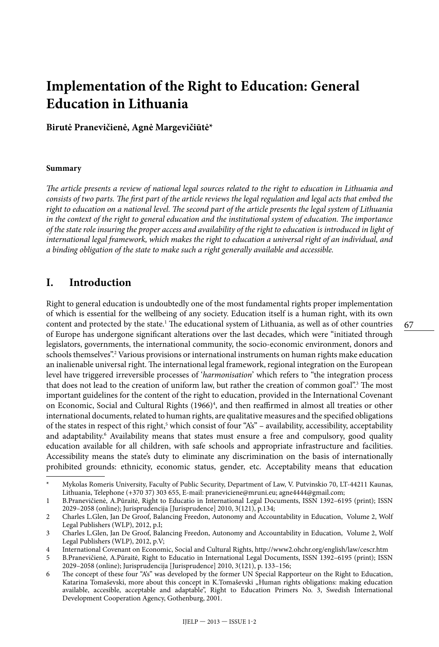# **Implementation of the Right to Education: General Education in Lithuania**

**Birutė Pranevičienė, Agnė Margevičiūtė\***

#### **Summary**

*The article presents a review of national legal sources related to the right to education in Lithuania and consists of two parts. The first part of the article reviews the legal regulation and legal acts that embed the right to education on a national level. The second part of the article presents the legal system of Lithuania in the context of the right to general education and the institutional system of education. The importance of the state role insuring the proper access and availability of the right to education is introduced in light of international legal framework, which makes the right to education a universal right of an individual, and a binding obligation of the state to make such a right generally available and accessible.*

#### **I. Introduction**

Right to general education is undoubtedly one of the most fundamental rights proper implementation of which is essential for the wellbeing of any society. Education itself is a human right, with its own content and protected by the state.1 The educational system of Lithuania, as well as of other countries of Europe has undergone significant alterations over the last decades, which were "initiated through legislators, governments, the international community, the socio-economic environment, donors and schools themselves".<sup>2</sup> Various provisions or international instruments on human rights make education an inalienable universal right. The international legal framework, regional integration on the European level have triggered irreversible processes of '*harmonisation*' which refers to "the integration process that does not lead to the creation of uniform law, but rather the creation of common goal".<sup>3</sup> The most important guidelines for the content of the right to education, provided in the International Covenant on Economic, Social and Cultural Rights (1966)<sup>4</sup>, and then reaffirmed in almost all treaties or other international documents, related to human rights, are qualitative measures and the specified obligations of the states in respect of this right,<sup>5</sup> which consist of four "A's" – availability, accessibility, acceptability and adaptability.<sup>6</sup> Availability means that states must ensure a free and compulsory, good quality education available for all children, with safe schools and appropriate infrastructure and facilities. Accessibility means the state's duty to eliminate any discrimination on the basis of internationally prohibited grounds: ethnicity, economic status, gender, etc. Acceptability means that education

<sup>\*</sup> Mykolas Romeris University, Faculty of Public Security, Department of Law, V. Putvinskio 70, LT-44211 Kaunas, Lithuania, Telephone (+370 37) 303 655, E-mail: praneviciene@mruni.eu; agne4444@gmail.com;

<sup>1</sup> B.Pranevičienė, A.Pūraitė, Right to Educatio in International Legal Documents, ISSN 1392–6195 (print); ISSN 2029–2058 (online); Jurisprudencija [Jurisprudence] 2010, 3(121), p.134;

<sup>2</sup> Charles L.Glen, Jan De Groof, Balancing Freedon, Autonomy and Accountability in Education, Volume 2, Wolf Legal Publishers (WLP), 2012, p.I;

<sup>3</sup> Charles L.Glen, Jan De Groof, Balancing Freedon, Autonomy and Accountability in Education, Volume 2, Wolf Legal Publishers (WLP), 2012, p.V;

<sup>4</sup> International Covenant on Economic, Social and Cultural Rights, http://www2.ohchr.org/english/law/cescr.htm

<sup>5</sup> B.Pranevičienė, A.Pūraitė, Right to Educatio in International Legal Documents, ISSN 1392–6195 (print); ISSN 2029–2058 (online); Jurisprudencija [Jurisprudence] 2010, 3(121), p. 133–156;

<sup>6</sup> The concept of these four "A's" was developed by the former UN Special Rapporteur on the Right to Education, Katarina Tomaševski, more about this concept in K.Tomaševski "Human rights obligations: making education available, accesible, acceptable and adaptable", Right to Education Primers No. 3, Swedish International Development Cooperation Agency, Gothenburg, 2001.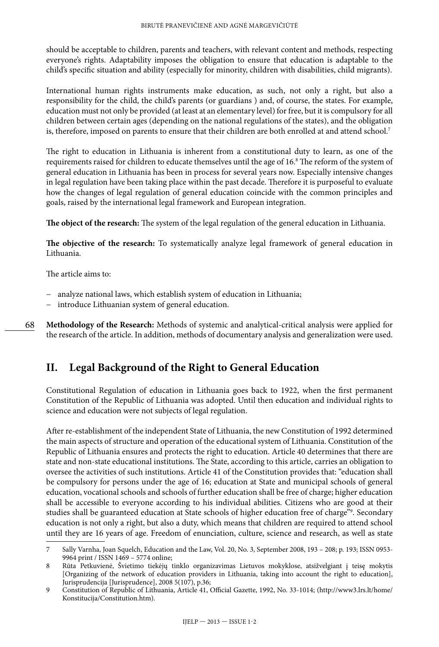should be acceptable to children, parents and teachers, with relevant content and methods, respecting everyone's rights. Adaptability imposes the obligation to ensure that education is adaptable to the child's specific situation and ability (especially for minority, children with disabilities, child migrants).

International human rights instruments make education, as such, not only a right, but also a responsibility for the child, the child's parents (or guardians ) and, of course, the states. For example, education must not only be provided (at least at an elementary level) for free, but it is compulsory for all children between certain ages (depending on the national regulations of the states), and the obligation is, therefore, imposed on parents to ensure that their children are both enrolled at and attend school.<sup>7</sup>

The right to education in Lithuania is inherent from a constitutional duty to learn, as one of the requirements raised for children to educate themselves until the age of 16.8 The reform of the system of general education in Lithuania has been in process for several years now. Especially intensive changes in legal regulation have been taking place within the past decade. Therefore it is purposeful to evaluate how the changes of legal regulation of general education coincide with the common principles and goals, raised by the international legal framework and European integration.

**The object of the research:** The system of the legal regulation of the general education in Lithuania.

**The objective of the research:** To systematically analyze legal framework of general education in Lithuania.

The article aims to:

- − analyze national laws, which establish system of education in Lithuania;
- − introduce Lithuanian system of general education.

68

**Methodology of the Research:** Methods of systemic and analytical-critical analysis were applied for the research of the article. In addition, methods of documentary analysis and generalization were used.

# **II. Legal Background of the Right to General Education**

Constitutional Regulation of education in Lithuania goes back to 1922, when the first permanent Constitution of the Republic of Lithuania was adopted. Until then education and individual rights to science and education were not subjects of legal regulation.

After re-establishment of the independent State of Lithuania, the new Constitution of 1992 determined the main aspects of structure and operation of the educational system of Lithuania. Constitution of the Republic of Lithuania ensures and protects the right to education. Article 40 determines that there are state and non-state educational institutions. The State, according to this article, carries an obligation to oversee the activities of such institutions. Article 41 of the Constitution provides that: "education shall be compulsory for persons under the age of 16; education at State and municipal schools of general education, vocational schools and schools of further education shall be free of charge; higher education shall be accessible to everyone according to his individual abilities. Citizens who are good at their studies shall be guaranteed education at State schools of higher education free of charge"9 . Secondary education is not only a right, but also a duty, which means that children are required to attend school until they are 16 years of age. Freedom of enunciation, culture, science and research, as well as state

<sup>7</sup> Sally Varnha, Joan Squelch, Education and the Law, Vol. 20, No. 3, September 2008, 193 – 208; p. 193; ISSN 0953- 9964 print / ISSN 1469 – 5774 online;

<sup>8</sup> Rūta Petkuvienė, Švietimo tiekėjų tinklo organizavimas Lietuvos mokyklose, atsižvelgiant į teisę mokytis [Organizing of the network of education providers in Lithuania, taking into account the right to education], Jurisprudencija [Jurisprudence], 2008 5(107), p.36;

<sup>9</sup> Constitution of Republic of Lithuania, Article 41, Official Gazette, 1992, No. 33-1014; ([http://www3.lrs.lt/home/](http://www3.lrs.lt/home/Konstitucija/Constitution.htm) [Konstitucija/Constitution.htm](http://www3.lrs.lt/home/Konstitucija/Constitution.htm)).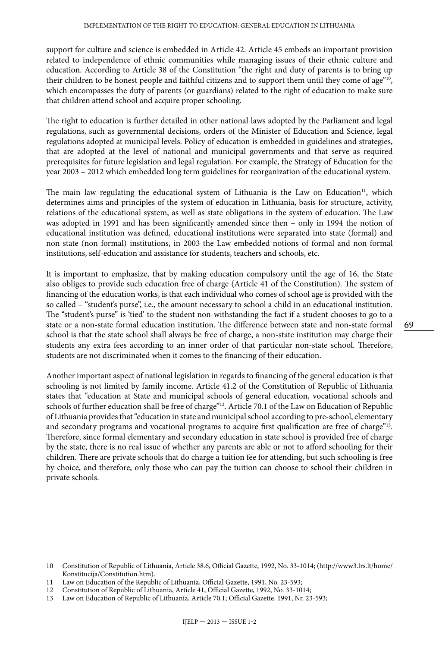support for culture and science is embedded in Article 42. Article 45 embeds an important provision related to independence of ethnic communities while managing issues of their ethnic culture and education. According to Article 38 of the Constitution "the right and duty of parents is to bring up their children to be honest people and faithful citizens and to support them until they come of age"<sup>10</sup>, which encompasses the duty of parents (or guardians) related to the right of education to make sure that children attend school and acquire proper schooling.

The right to education is further detailed in other national laws adopted by the Parliament and legal regulations, such as governmental decisions, orders of the Minister of Education and Science, legal regulations adopted at municipal levels. Policy of education is embedded in guidelines and strategies, that are adopted at the level of national and municipal governments and that serve as required prerequisites for future legislation and legal regulation. For example, the Strategy of Education for the year 2003 – 2012 which embedded long term guidelines for reorganization of the educational system.

The main law regulating the educational system of Lithuania is the Law on Education<sup>11</sup>, which determines aims and principles of the system of education in Lithuania, basis for structure, activity, relations of the educational system, as well as state obligations in the system of education. The Law was adopted in 1991 and has been significantly amended since then – only in 1994 the notion of educational institution was defined, educational institutions were separated into state (formal) and non-state (non-formal) institutions, in 2003 the Law embedded notions of formal and non-formal institutions, self-education and assistance for students, teachers and schools, etc.

It is important to emphasize, that by making education compulsory until the age of 16, the State also obliges to provide such education free of charge (Article 41 of the Constitution). The system of financing of the education works, is that each individual who comes of school age is provided with the so called – "student's purse", i.e., the amount necessary to school a child in an educational institution. The "student's purse" is 'tied' to the student non-withstanding the fact if a student chooses to go to a state or a non-state formal education institution. The difference between state and non-state formal school is that the state school shall always be free of charge, a non-state institution may charge their students any extra fees according to an inner order of that particular non-state school. Therefore, students are not discriminated when it comes to the financing of their education.

Another important aspect of national legislation in regards to financing of the general education is that schooling is not limited by family income. Article 41.2 of the Constitution of Republic of Lithuania states that "education at State and municipal schools of general education, vocational schools and schools of further education shall be free of charge"<sup>12</sup>. Article 70.1 of the Law on Education of Republic of Lithuania provides that "education in state and municipal school according to pre-school, elementary and secondary programs and vocational programs to acquire first qualification are free of charge"<sup>13</sup>. Therefore, since formal elementary and secondary education in state school is provided free of charge by the state, there is no real issue of whether any parents are able or not to afford schooling for their children. There are private schools that do charge a tuition fee for attending, but such schooling is free by choice, and therefore, only those who can pay the tuition can choose to school their children in private schools.

<sup>10</sup> Constitution of Republic of Lithuania, Article 38.6, Official Gazette, 1992, No. 33-1014; ([http://www3.lrs.lt/home/](http://www3.lrs.lt/home/Konstitucija/Constitution.htm) [Konstitucija/Constitution.htm](http://www3.lrs.lt/home/Konstitucija/Constitution.htm)).

<sup>11</sup> Law on Education of the Republic of Lithuania, Official Gazette, 1991, No. [23-593;](http://www3.lrs.lt/cgi-bin/preps2?a=1480&b=)

<sup>12</sup> Constitution of Republic of Lithuania, Article 41, Official Gazette, 1992, No. 33-1014;

<sup>13</sup> Law on Education of Republic of Lithuania, Article 70.1; Official Gazette. 1991, Nr. [23-593;](http://www3.lrs.lt/cgi-bin/preps2?a=1480&b=)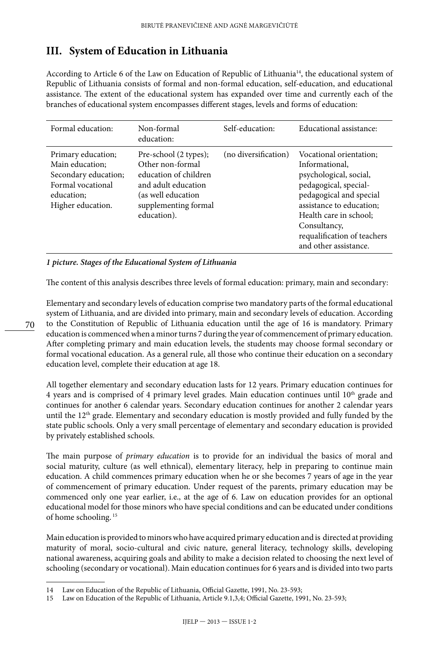# **III. System of Education in Lithuania**

According to Article 6 of the Law on Education of Republic of Lithuania<sup>14</sup>, the educational system of Republic of Lithuania consists of formal and non-formal education, self-education, and educational assistance. The extent of the educational system has expanded over time and currently each of the branches of educational system encompasses different stages, levels and forms of education:

| Formal education:                                                                                                     | Non-formal<br>education:                                                                                                                                | Self-education:      | Educational assistance:                                                                                                                                                                                                                               |
|-----------------------------------------------------------------------------------------------------------------------|---------------------------------------------------------------------------------------------------------------------------------------------------------|----------------------|-------------------------------------------------------------------------------------------------------------------------------------------------------------------------------------------------------------------------------------------------------|
| Primary education;<br>Main education;<br>Secondary education;<br>Formal vocational<br>education:<br>Higher education. | Pre-school (2 types);<br>Other non-formal<br>education of children<br>and adult education<br>(as well education)<br>supplementing formal<br>education). | (no diversification) | Vocational orientation:<br>Informational,<br>psychological, social,<br>pedagogical, special-<br>pedagogical and special<br>assistance to education;<br>Health care in school:<br>Consultancy,<br>requalification of teachers<br>and other assistance. |

*1 picture. Stages of the Educational System of Lithuania*

The content of this analysis describes three levels of formal education: primary, main and secondary:

Elementary and secondary levels of education comprise two mandatory parts of the formal educational system of Lithuania, and are divided into primary, main and secondary levels of education. According to the Constitution of Republic of Lithuania education until the age of 16 is mandatory. Primary education is commenced when a minor turns 7 during the year of commencement of primary education. After completing primary and main education levels, the students may choose formal secondary or formal vocational education. As a general rule, all those who continue their education on a secondary education level, complete their education at age 18.

All together elementary and secondary education lasts for 12 years. Primary education continues for 4 years and is comprised of 4 primary level grades. Main education continues until  $10<sup>th</sup>$  grade and continues for another 6 calendar years. Secondary education continues for another 2 calendar years until the  $12<sup>th</sup>$  grade. Elementary and secondary education is mostly provided and fully funded by the state public schools. Only a very small percentage of elementary and secondary education is provided by privately established schools.

The main purpose of *primary education* is to provide for an individual the basics of moral and social maturity, culture (as well ethnical), elementary literacy, help in preparing to continue main education. A child commences primary education when he or she becomes 7 years of age in the year of commencement of primary education. Under request of the parents, primary education may be commenced only one year earlier, i.e., at the age of 6. Law on education provides for an optional educational model for those minors who have special conditions and can be educated under conditions of home schooling. 15

Main education is provided to minors who have acquired primary education and is directed at providing maturity of moral, socio-cultural and civic nature, general literacy, technology skills, developing national awareness, acquiring goals and ability to make a decision related to choosing the next level of schooling (secondary or vocational). Main education continues for 6 years and is divided into two parts

<sup>14</sup> Law on Education of the Republic of Lithuania, Official Gazette, 1991, No. [23-593;](http://www3.lrs.lt/cgi-bin/preps2?a=1480&b=)

<sup>15</sup> Law on Education of the Republic of Lithuania, Article 9.1,3,4; Official Gazette, 1991, No. [23-593](http://www3.lrs.lt/cgi-bin/preps2?a=1480&b=);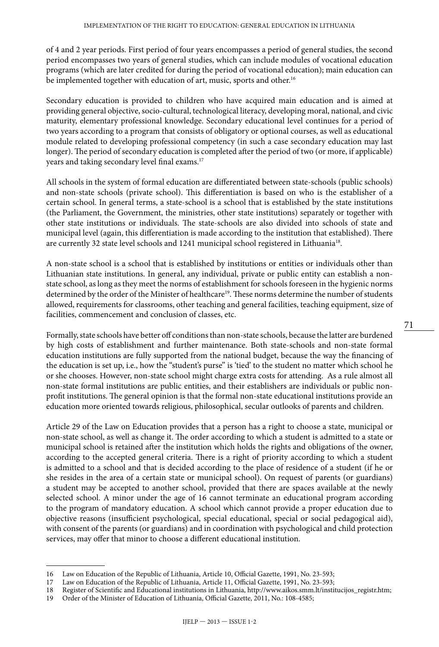of 4 and 2 year periods. First period of four years encompasses a period of general studies, the second period encompasses two years of general studies, which can include modules of vocational education programs (which are later credited for during the period of vocational education); main education can be implemented together with education of art, music, sports and other.<sup>16</sup>

Secondary education is provided to children who have acquired main education and is aimed at providing general objective, socio-cultural, technological literacy, developing moral, national, and civic maturity, elementary professional knowledge. Secondary educational level continues for a period of two years according to a program that consists of obligatory or optional courses, as well as educational module related to developing professional competency (in such a case secondary education may last longer). The period of secondary education is completed after the period of two (or more, if applicable) years and taking secondary level final exams.17

All schools in the system of formal education are differentiated between state-schools (public schools) and non-state schools (private school). This differentiation is based on who is the establisher of a certain school. In general terms, a state-school is a school that is established by the state institutions (the Parliament, the Government, the ministries, other state institutions) separately or together with other state institutions or individuals. The state-schools are also divided into schools of state and municipal level (again, this differentiation is made according to the institution that established). There are currently 32 state level schools and 1241 municipal school registered in Lithuania<sup>18</sup>.

A non-state school is a school that is established by institutions or entities or individuals other than Lithuanian state institutions. In general, any individual, private or public entity can establish a nonstate school, as long as they meet the norms of establishment for schools foreseen in the hygienic norms determined by the order of the Minister of healthcare<sup>19</sup>. These norms determine the number of students allowed, requirements for classrooms, other teaching and general facilities, teaching equipment, size of facilities, commencement and conclusion of classes, etc.

Formally, state schools have better off conditions than non-state schools, because the latter are burdened by high costs of establishment and further maintenance. Both state-schools and non-state formal education institutions are fully supported from the national budget, because the way the financing of the education is set up, i.e., how the "student's purse" is 'tied' to the student no matter which school he or she chooses. However, non-state school might charge extra costs for attending. As a rule almost all non-state formal institutions are public entities, and their establishers are individuals or public nonprofit institutions. The general opinion is that the formal non-state educational institutions provide an education more oriented towards religious, philosophical, secular outlooks of parents and children.

Article 29 of the Law on Education provides that a person has a right to choose a state, municipal or non-state school, as well as change it. The order according to which a student is admitted to a state or municipal school is retained after the institution which holds the rights and obligations of the owner, according to the accepted general criteria. There is a right of priority according to which a student is admitted to a school and that is decided according to the place of residence of a student (if he or she resides in the area of a certain state or municipal school). On request of parents (or guardians) a student may be accepted to another school, provided that there are spaces available at the newly selected school. A minor under the age of 16 cannot terminate an educational program according to the program of mandatory education. A school which cannot provide a proper education due to objective reasons (insufficient psychological, special educational, special or social pedagogical aid), with consent of the parents (or guardians) and in coordination with psychological and child protection services, may offer that minor to choose a different educational institution.

<sup>16</sup> Law on Education of the Republic of Lithuania, Article 10, Official Gazette, 1991, No. [23-593](http://www3.lrs.lt/cgi-bin/preps2?a=1480&b=);<br>17 Law on Education of the Republic of Lithuania, Article 11, Official Gazette, 1991, No. 23-593;

Law on Education of the Republic of Lithuania, Article 11, Official Gazette, 1991, No. [23-593](http://www3.lrs.lt/cgi-bin/preps2?a=1480&b=);

<sup>18</sup> Register of Scientific and Educational institutions in Lithuania, [http://www.aikos.smm.lt/institucijos\\_registr.htm](http://www.aikos.smm.lt/institucijos_registr.htm);<br>19 Order of the Minister of Education of Lithuania. Official Gazette. 2011. No.: 108-4585:

Order of the Minister of Education of Lithuania, Official Gazette, 2011, No.: 108-4585;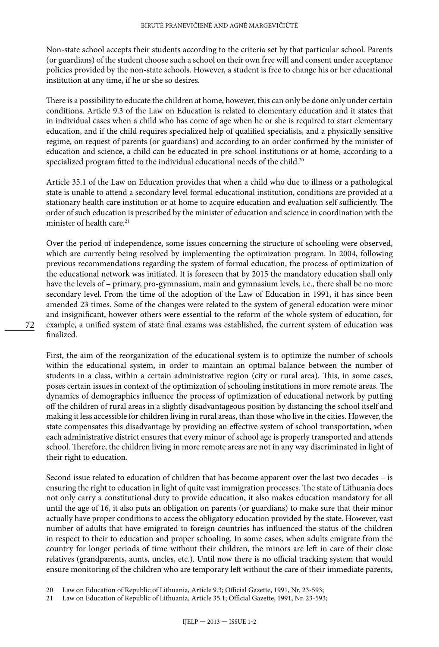Non-state school accepts their students according to the criteria set by that particular school. Parents (or guardians) of the student choose such a school on their own free will and consent under acceptance policies provided by the non-state schools. However, a student is free to change his or her educational institution at any time, if he or she so desires.

There is a possibility to educate the children at home, however, this can only be done only under certain conditions. Article 9.3 of the Law on Education is related to elementary education and it states that in individual cases when a child who has come of age when he or she is required to start elementary education, and if the child requires specialized help of qualified specialists, and a physically sensitive regime, on request of parents (or guardians) and according to an order confirmed by the minister of education and science, a child can be educated in pre-school institutions or at home, according to a specialized program fitted to the individual educational needs of the child.<sup>20</sup>

Article 35.1 of the Law on Education provides that when a child who due to illness or a pathological state is unable to attend a secondary level formal educational institution, conditions are provided at a stationary health care institution or at home to acquire education and evaluation self sufficiently. The order of such education is prescribed by the minister of education and science in coordination with the minister of health care<sup>21</sup>

Over the period of independence, some issues concerning the structure of schooling were observed, which are currently being resolved by implementing the optimization program. In 2004, following previous recommendations regarding the system of formal education, the process of optimization of the educational network was initiated. It is foreseen that by 2015 the mandatory education shall only have the levels of – primary, pro-gymnasium, main and gymnasium levels, i.e., there shall be no more secondary level. From the time of the adoption of the Law of Education in 1991, it has since been amended 23 times. Some of the changes were related to the system of general education were minor and insignificant, however others were essential to the reform of the whole system of education, for example, a unified system of state final exams was established, the current system of education was finalized.

First, the aim of the reorganization of the educational system is to optimize the number of schools within the educational system, in order to maintain an optimal balance between the number of students in a class, within a certain administrative region (city or rural area). This, in some cases, poses certain issues in context of the optimization of schooling institutions in more remote areas. The dynamics of demographics influence the process of optimization of educational network by putting off the children of rural areas in a slightly disadvantageous position by distancing the school itself and making it less accessible for children living in rural areas, than those who live in the cities. However, the state compensates this disadvantage by providing an effective system of school transportation, when each administrative district ensures that every minor of school age is properly transported and attends school. Therefore, the children living in more remote areas are not in any way discriminated in light of their right to education.

Second issue related to education of children that has become apparent over the last two decades – is ensuring the right to education in light of quite vast immigration processes. The state of Lithuania does not only carry a constitutional duty to provide education, it also makes education mandatory for all until the age of 16, it also puts an obligation on parents (or guardians) to make sure that their minor actually have proper conditions to access the obligatory education provided by the state. However, vast number of adults that have emigrated to foreign countries has influenced the status of the children in respect to their to education and proper schooling. In some cases, when adults emigrate from the country for longer periods of time without their children, the minors are left in care of their close relatives (grandparents, aunts, uncles, etc.). Until now there is no official tracking system that would ensure monitoring of the children who are temporary left without the care of their immediate parents,

<sup>20</sup> Law on Education of Republic of Lithuania, Article 9.3; Official Gazette, 1991, Nr. [23-593](http://www3.lrs.lt/cgi-bin/preps2?a=1480&b=);

<sup>21</sup> Law on Education of Republic of Lithuania, Article 35.1; Official Gazette, 1991, Nr. [23-593;](http://www3.lrs.lt/cgi-bin/preps2?a=1480&b=)